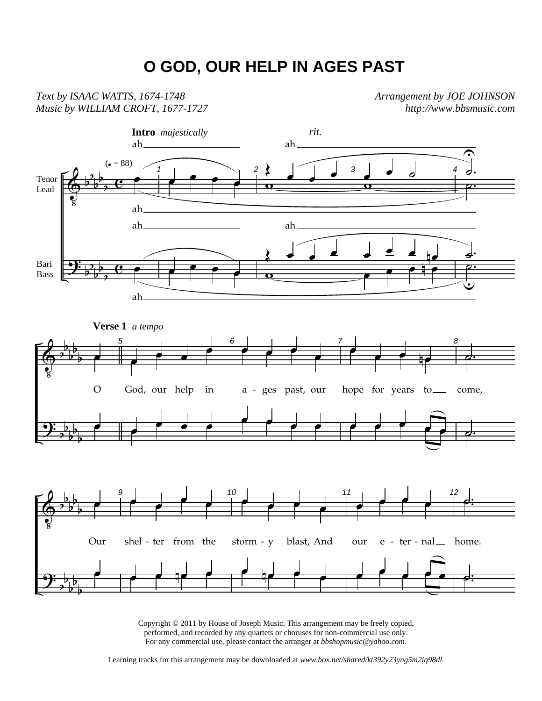## **O GOD, OUR HELP IN AGES PAST**

*Text by ISAAC WATTS, 1674-1748 Music by WILLIAM CROFT, 1677-1727*  *Arrangement by JOE JOHNSON http://www.bbsmusic.com*



Copyright © 2011 by House of Joseph Music. This arrangement may be freely copied, performed, and recorded by any quartets or choruses for non-commercial use only. For any commercial use, please contact the arranger at *bbshopmusic@yahoo.com.*

Learning tracks for this arrangement may be downloaded at *www.box.net/shared/kt392y23yng5m2iq98dl.*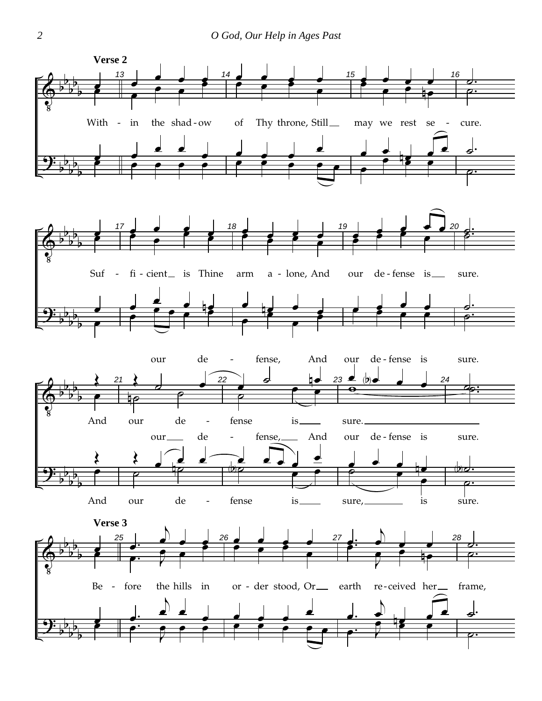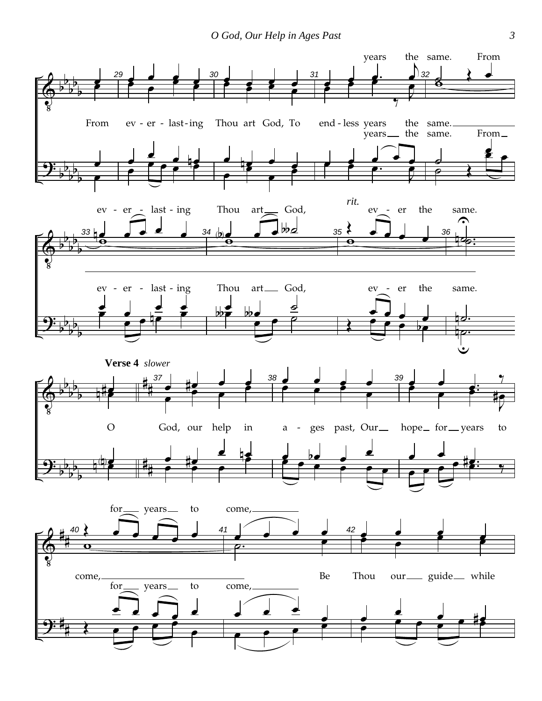